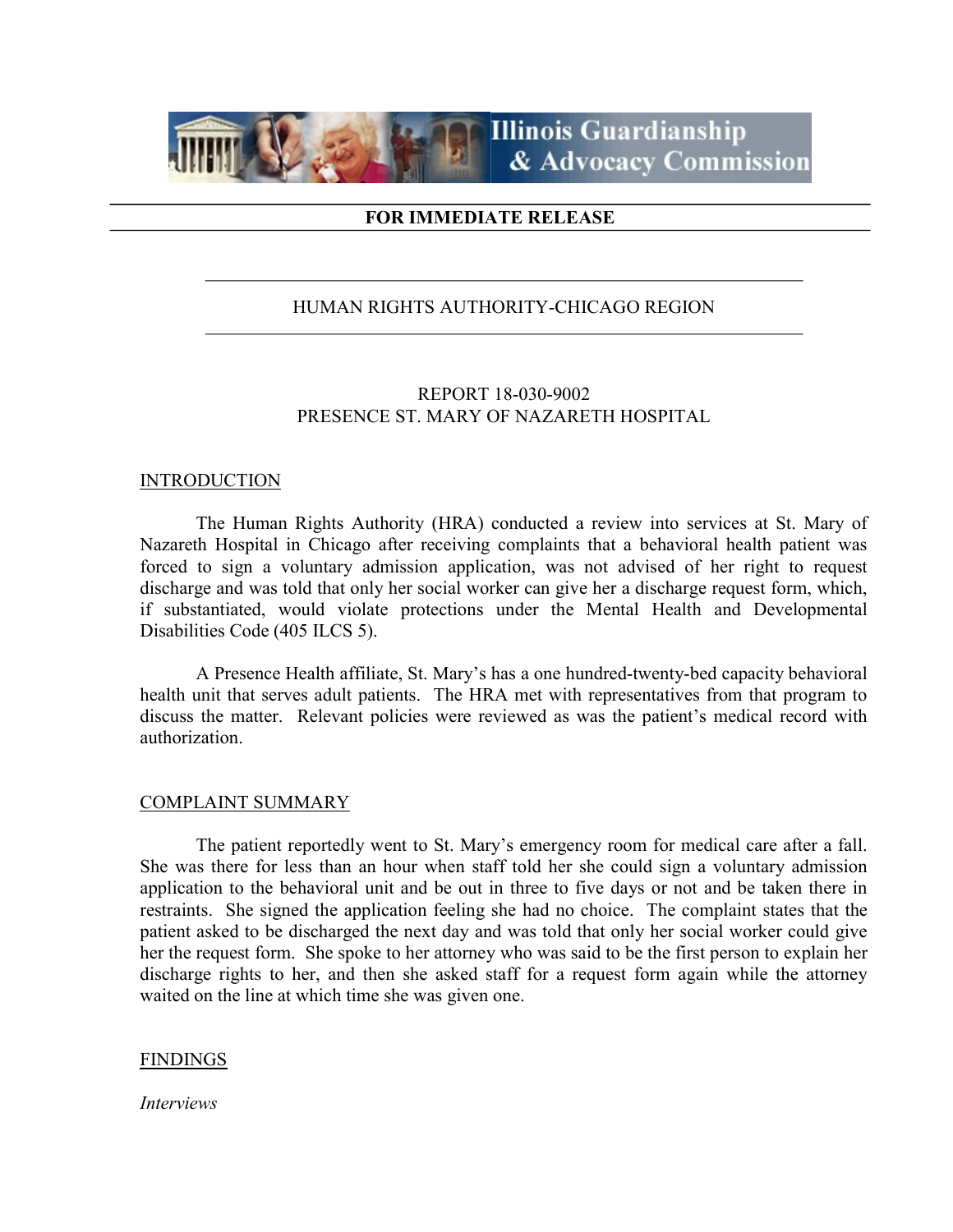

# FOR IMMEDIATE RELEASE

# HUMAN RIGHTS AUTHORITY-CHICAGO REGION

# REPORT 18-030-9002 PRESENCE ST. MARY OF NAZARETH HOSPITAL

## **INTRODUCTION**

 The Human Rights Authority (HRA) conducted a review into services at St. Mary of Nazareth Hospital in Chicago after receiving complaints that a behavioral health patient was forced to sign a voluntary admission application, was not advised of her right to request discharge and was told that only her social worker can give her a discharge request form, which, if substantiated, would violate protections under the Mental Health and Developmental Disabilities Code (405 ILCS 5).

 A Presence Health affiliate, St. Mary's has a one hundred-twenty-bed capacity behavioral health unit that serves adult patients. The HRA met with representatives from that program to discuss the matter. Relevant policies were reviewed as was the patient's medical record with authorization.

#### COMPLAINT SUMMARY

 The patient reportedly went to St. Mary's emergency room for medical care after a fall. She was there for less than an hour when staff told her she could sign a voluntary admission application to the behavioral unit and be out in three to five days or not and be taken there in restraints. She signed the application feeling she had no choice. The complaint states that the patient asked to be discharged the next day and was told that only her social worker could give her the request form. She spoke to her attorney who was said to be the first person to explain her discharge rights to her, and then she asked staff for a request form again while the attorney waited on the line at which time she was given one.

### FINDINGS

Interviews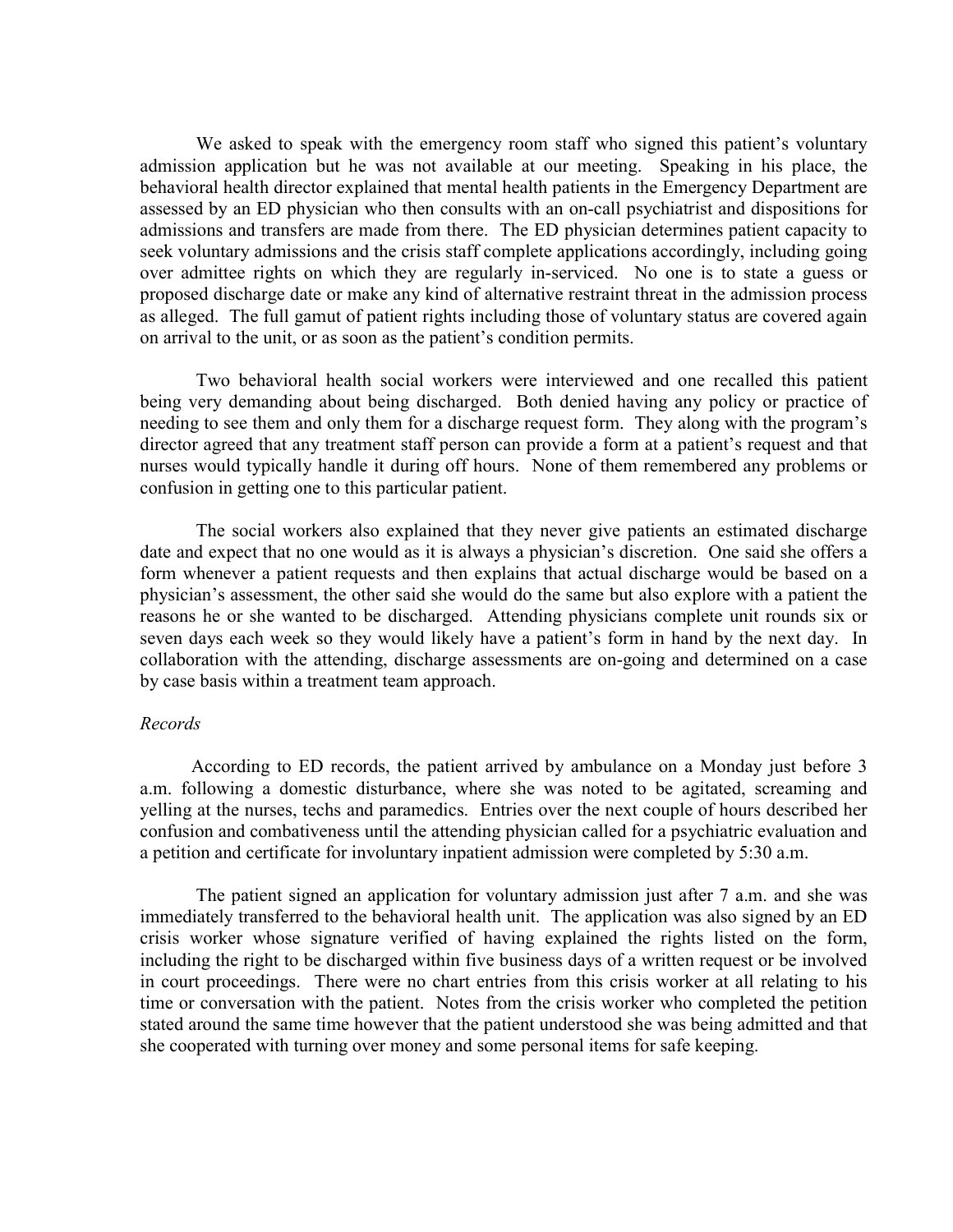We asked to speak with the emergency room staff who signed this patient's voluntary admission application but he was not available at our meeting. Speaking in his place, the behavioral health director explained that mental health patients in the Emergency Department are assessed by an ED physician who then consults with an on-call psychiatrist and dispositions for admissions and transfers are made from there. The ED physician determines patient capacity to seek voluntary admissions and the crisis staff complete applications accordingly, including going over admittee rights on which they are regularly in-serviced. No one is to state a guess or proposed discharge date or make any kind of alternative restraint threat in the admission process as alleged. The full gamut of patient rights including those of voluntary status are covered again on arrival to the unit, or as soon as the patient's condition permits.

 Two behavioral health social workers were interviewed and one recalled this patient being very demanding about being discharged. Both denied having any policy or practice of needing to see them and only them for a discharge request form. They along with the program's director agreed that any treatment staff person can provide a form at a patient's request and that nurses would typically handle it during off hours. None of them remembered any problems or confusion in getting one to this particular patient.

 The social workers also explained that they never give patients an estimated discharge date and expect that no one would as it is always a physician's discretion. One said she offers a form whenever a patient requests and then explains that actual discharge would be based on a physician's assessment, the other said she would do the same but also explore with a patient the reasons he or she wanted to be discharged. Attending physicians complete unit rounds six or seven days each week so they would likely have a patient's form in hand by the next day. In collaboration with the attending, discharge assessments are on-going and determined on a case by case basis within a treatment team approach.

### Records

 According to ED records, the patient arrived by ambulance on a Monday just before 3 a.m. following a domestic disturbance, where she was noted to be agitated, screaming and yelling at the nurses, techs and paramedics. Entries over the next couple of hours described her confusion and combativeness until the attending physician called for a psychiatric evaluation and a petition and certificate for involuntary inpatient admission were completed by 5:30 a.m.

 The patient signed an application for voluntary admission just after 7 a.m. and she was immediately transferred to the behavioral health unit. The application was also signed by an ED crisis worker whose signature verified of having explained the rights listed on the form, including the right to be discharged within five business days of a written request or be involved in court proceedings. There were no chart entries from this crisis worker at all relating to his time or conversation with the patient. Notes from the crisis worker who completed the petition stated around the same time however that the patient understood she was being admitted and that she cooperated with turning over money and some personal items for safe keeping.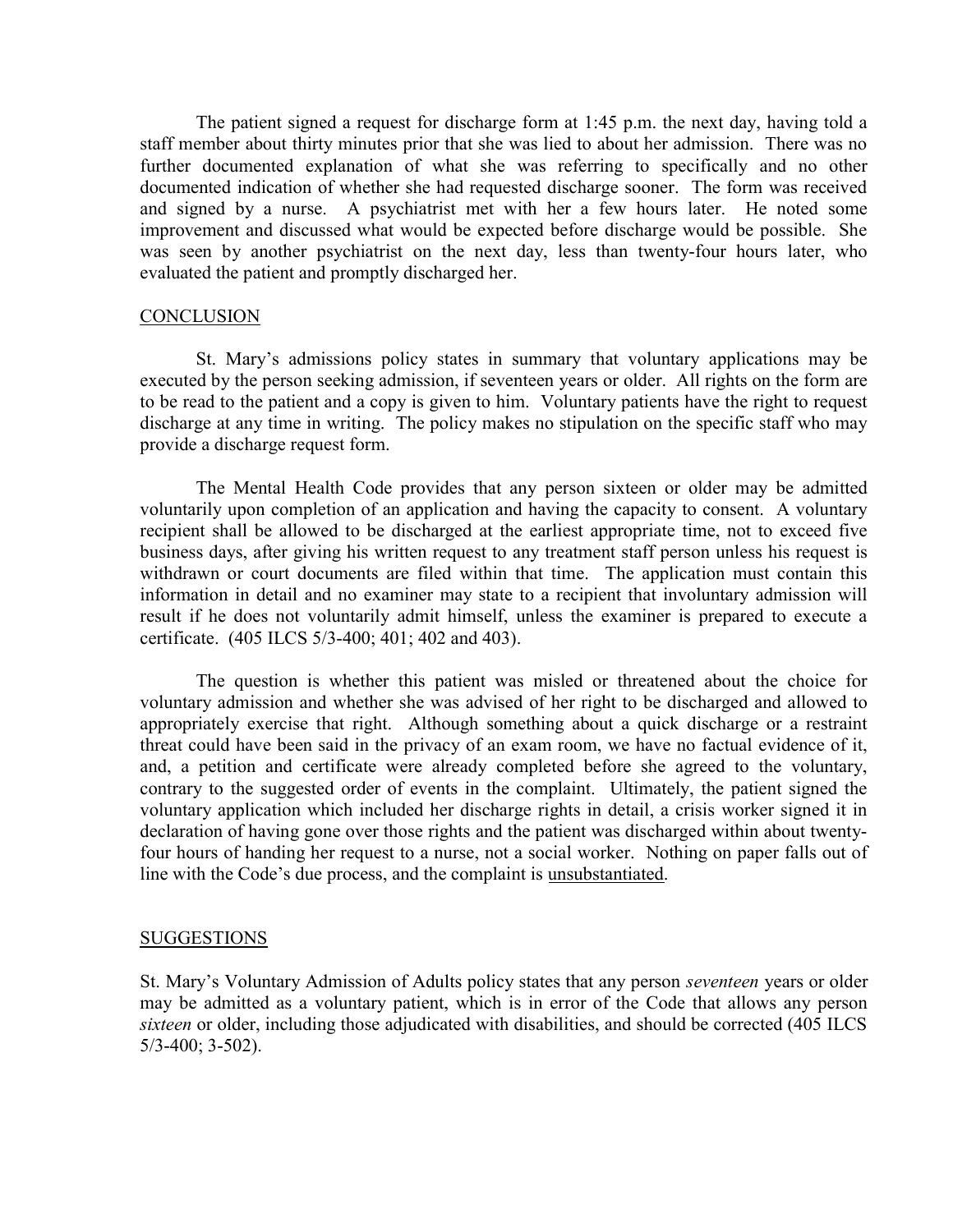The patient signed a request for discharge form at 1:45 p.m. the next day, having told a staff member about thirty minutes prior that she was lied to about her admission. There was no further documented explanation of what she was referring to specifically and no other documented indication of whether she had requested discharge sooner. The form was received and signed by a nurse. A psychiatrist met with her a few hours later. He noted some improvement and discussed what would be expected before discharge would be possible. She was seen by another psychiatrist on the next day, less than twenty-four hours later, who evaluated the patient and promptly discharged her.

## **CONCLUSION**

 St. Mary's admissions policy states in summary that voluntary applications may be executed by the person seeking admission, if seventeen years or older. All rights on the form are to be read to the patient and a copy is given to him. Voluntary patients have the right to request discharge at any time in writing. The policy makes no stipulation on the specific staff who may provide a discharge request form.

The Mental Health Code provides that any person sixteen or older may be admitted voluntarily upon completion of an application and having the capacity to consent. A voluntary recipient shall be allowed to be discharged at the earliest appropriate time, not to exceed five business days, after giving his written request to any treatment staff person unless his request is withdrawn or court documents are filed within that time. The application must contain this information in detail and no examiner may state to a recipient that involuntary admission will result if he does not voluntarily admit himself, unless the examiner is prepared to execute a certificate. (405 ILCS 5/3-400; 401; 402 and 403).

The question is whether this patient was misled or threatened about the choice for voluntary admission and whether she was advised of her right to be discharged and allowed to appropriately exercise that right. Although something about a quick discharge or a restraint threat could have been said in the privacy of an exam room, we have no factual evidence of it, and, a petition and certificate were already completed before she agreed to the voluntary, contrary to the suggested order of events in the complaint. Ultimately, the patient signed the voluntary application which included her discharge rights in detail, a crisis worker signed it in declaration of having gone over those rights and the patient was discharged within about twentyfour hours of handing her request to a nurse, not a social worker. Nothing on paper falls out of line with the Code's due process, and the complaint is unsubstantiated.

### SUGGESTIONS

St. Mary's Voluntary Admission of Adults policy states that any person *seventeen* years or older may be admitted as a voluntary patient, which is in error of the Code that allows any person sixteen or older, including those adjudicated with disabilities, and should be corrected (405 ILCS 5/3-400; 3-502).